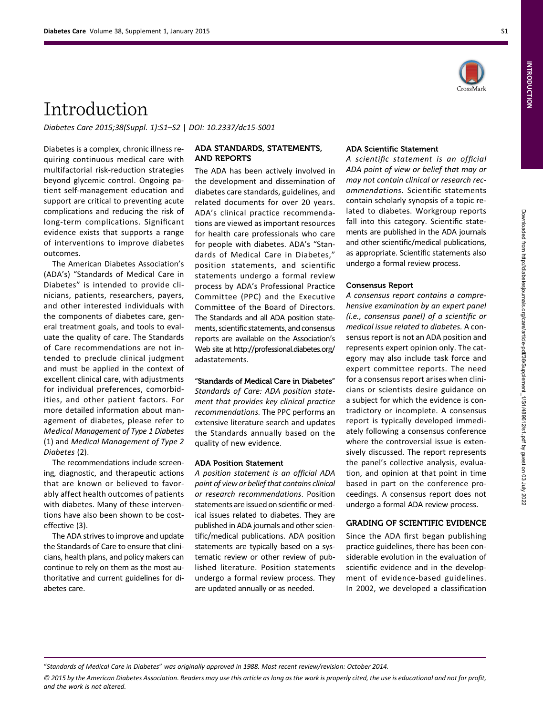# Introduction

Diabetes Care 2015;38(Suppl. 1):S1–S2 | DOI: 10.2337/dc15-S001

Diabetes is a complex, chronic illness requiring continuous medical care with multifactorial risk-reduction strategies beyond glycemic control. Ongoing patient self-management education and support are critical to preventing acute complications and reducing the risk of long-term complications. Significant evidence exists that supports a range of interventions to improve diabetes outcomes.

The American Diabetes Association's (ADA's) "Standards of Medical Care in Diabetes" is intended to provide clinicians, patients, researchers, payers, and other interested individuals with the components of diabetes care, general treatment goals, and tools to evaluate the quality of care. The Standards of Care recommendations are not intended to preclude clinical judgment and must be applied in the context of excellent clinical care, with adjustments for individual preferences, comorbidities, and other patient factors. For more detailed information about management of diabetes, please refer to Medical Management of Type 1 Diabetes (1) and Medical Management of Type 2 Diabetes (2).

The recommendations include screening, diagnostic, and therapeutic actions that are known or believed to favorably affect health outcomes of patients with diabetes. Many of these interventions have also been shown to be costeffective (3).

The ADA strives to improve and update the Standards of Care to ensure that clinicians, health plans, and policy makers can continue to rely on them as the most authoritative and current guidelines for diabetes care.

# ADA STANDARDS, STATEMENTS, AND REPORTS

The ADA has been actively involved in the development and dissemination of diabetes care standards, guidelines, and related documents for over 20 years. ADA's clinical practice recommendations are viewed as important resources for health care professionals who care for people with diabetes. ADA's "Standards of Medical Care in Diabetes," position statements, and scientific statements undergo a formal review process by ADA's Professional Practice Committee (PPC) and the Executive Committee of the Board of Directors. The Standards and all ADA position statements, scientific statements, and consensus reports are available on the Association's Web site at [http://professional.diabetes.org/](http://professional.diabetes.org/adastatements) [adastatements.](http://professional.diabetes.org/adastatements)

#### "Standards of Medical Care in Diabetes"

Standards of Care: ADA position statement that provides key clinical practice recommendations. The PPC performs an extensive literature search and updates the Standards annually based on the quality of new evidence.

#### ADA Position Statement

A position statement is an official ADA point of view or belief that contains clinical or research recommendations. Position statements are issued on scientific or medical issues related to diabetes. They are published in ADA journals and other scientific/medical publications. ADA position statements are typically based on a systematic review or other review of published literature. Position statements undergo a formal review process. They are updated annually or as needed.

## ADA Scientific Statement

A scientific statement is an official ADA point of view or belief that may or may not contain clinical or research recommendations. Scientific statements contain scholarly synopsis of a topic related to diabetes. Workgroup reports fall into this category. Scientific statements are published in the ADA journals and other scientific/medical publications, as appropriate. Scientific statements also undergo a formal review process.

#### Consensus Report

A consensus report contains a comprehensive examination by an expert panel (i.e., consensus panel) of a scientific or medical issue related to diabetes. A consensus report is not an ADA position and represents expert opinion only. The category may also include task force and expert committee reports. The need for a consensus report arises when clinicians or scientists desire guidance on a subject for which the evidence is contradictory or incomplete. A consensus report is typically developed immediately following a consensus conference where the controversial issue is extensively discussed. The report represents the panel's collective analysis, evaluation, and opinion at that point in time based in part on the conference proceedings. A consensus report does not undergo a formal ADA review process.

# GRADING OF SCIENTIFIC EVIDENCE

Since the ADA first began publishing practice guidelines, there has been considerable evolution in the evaluation of scientific evidence and in the development of evidence-based guidelines. In 2002, we developed a classification

"Standards of Medical Care in Diabetes" was originally approved in 1988. Most recent review/revision: October 2014.

© 2015 by the American Diabetes Association. Readers may use this article as long as the work is properly cited, the use is educational and not for profit, and the work is not altered.